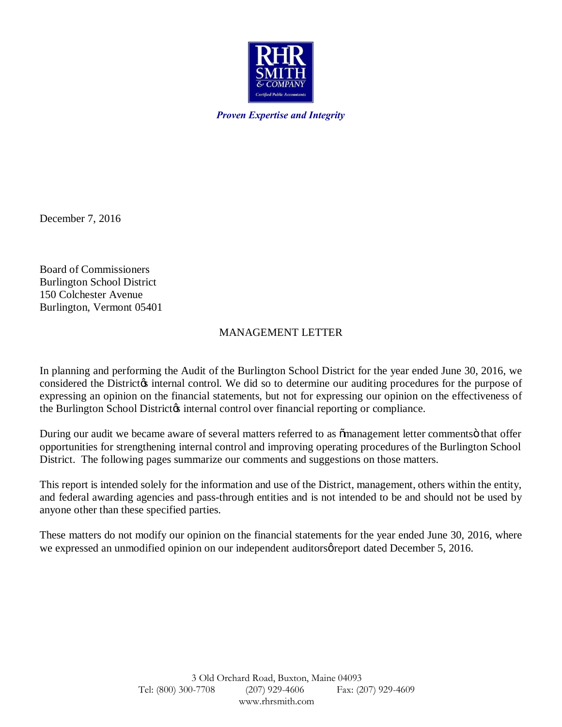

*Proven Expertise and Integrity*

December 7, 2016

Board of Commissioners Burlington School District 150 Colchester Avenue Burlington, Vermont 05401

## MANAGEMENT LETTER

In planning and performing the Audit of the Burlington School District for the year ended June 30, 2016, we considered the District internal control. We did so to determine our auditing procedures for the purpose of expressing an opinion on the financial statements, but not for expressing our opinion on the effectiveness of the Burlington School District internal control over financial reporting or compliance.

During our audit we became aware of several matters referred to as  $\tilde{\text{m}}$  management letter comments that offer opportunities for strengthening internal control and improving operating procedures of the Burlington School District. The following pages summarize our comments and suggestions on those matters.

This report is intended solely for the information and use of the District, management, others within the entity, and federal awarding agencies and pass-through entities and is not intended to be and should not be used by anyone other than these specified parties.

These matters do not modify our opinion on the financial statements for the year ended June 30, 2016, where we expressed an unmodified opinion on our independent auditors greport dated December 5, 2016.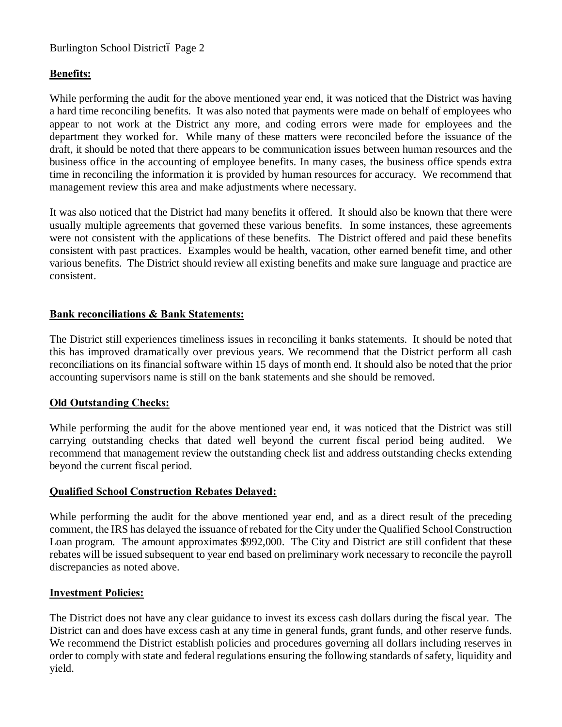## Burlington School Districtó Page 2

## **Benefits:**

While performing the audit for the above mentioned year end, it was noticed that the District was having a hard time reconciling benefits. It was also noted that payments were made on behalf of employees who appear to not work at the District any more, and coding errors were made for employees and the department they worked for. While many of these matters were reconciled before the issuance of the draft, it should be noted that there appears to be communication issues between human resources and the business office in the accounting of employee benefits. In many cases, the business office spends extra time in reconciling the information it is provided by human resources for accuracy. We recommend that management review this area and make adjustments where necessary.

It was also noticed that the District had many benefits it offered. It should also be known that there were usually multiple agreements that governed these various benefits. In some instances, these agreements were not consistent with the applications of these benefits. The District offered and paid these benefits consistent with past practices. Examples would be health, vacation, other earned benefit time, and other various benefits. The District should review all existing benefits and make sure language and practice are consistent.

## **Bank reconciliations & Bank Statements:**

The District still experiences timeliness issues in reconciling it banks statements. It should be noted that this has improved dramatically over previous years. We recommend that the District perform all cash reconciliations on its financial software within 15 days of month end. It should also be noted that the prior accounting supervisors name is still on the bank statements and she should be removed.

### **Old Outstanding Checks:**

While performing the audit for the above mentioned year end, it was noticed that the District was still carrying outstanding checks that dated well beyond the current fiscal period being audited. We recommend that management review the outstanding check list and address outstanding checks extending beyond the current fiscal period.

## **Qualified School Construction Rebates Delayed:**

While performing the audit for the above mentioned year end, and as a direct result of the preceding comment, the IRS has delayed the issuance of rebated for the City under the Qualified School Construction Loan program. The amount approximates \$992,000. The City and District are still confident that these rebates will be issued subsequent to year end based on preliminary work necessary to reconcile the payroll discrepancies as noted above.

### **Investment Policies:**

The District does not have any clear guidance to invest its excess cash dollars during the fiscal year. The District can and does have excess cash at any time in general funds, grant funds, and other reserve funds. We recommend the District establish policies and procedures governing all dollars including reserves in order to comply with state and federal regulations ensuring the following standards of safety, liquidity and yield.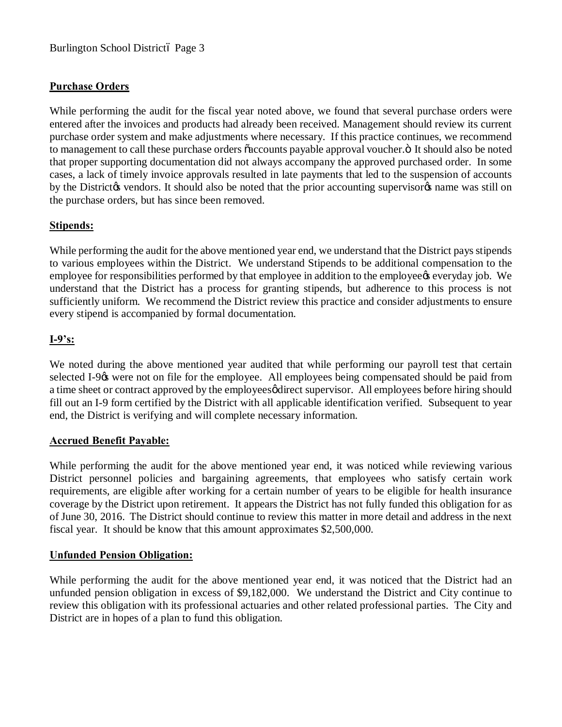# **Purchase Orders**

While performing the audit for the fiscal year noted above, we found that several purchase orders were entered after the invoices and products had already been received. Management should review its current purchase order system and make adjustments where necessary. If this practice continues, we recommend to management to call these purchase orders  $\tilde{o}$  accounts payable approval voucher. $\ddot{o}$  It should also be noted that proper supporting documentation did not always accompany the approved purchased order. In some cases, a lack of timely invoice approvals resulted in late payments that led to the suspension of accounts by the District to vendors. It should also be noted that the prior accounting supervisor to name was still on the purchase orders, but has since been removed.

## **Stipends:**

While performing the audit for the above mentioned year end, we understand that the District pays stipends to various employees within the District. We understand Stipends to be additional compensation to the employee for responsibilities performed by that employee in addition to the employee is everyday job. We understand that the District has a process for granting stipends, but adherence to this process is not sufficiently uniform. We recommend the District review this practice and consider adjustments to ensure every stipend is accompanied by formal documentation.

# **I-9's:**

We noted during the above mentioned year audited that while performing our payroll test that certain selected I-9% were not on file for the employee. All employees being compensated should be paid from a time sheet or contract approved by the employees of direct supervisor. All employees before hiring should fill out an I-9 form certified by the District with all applicable identification verified. Subsequent to year end, the District is verifying and will complete necessary information.

### **Accrued Benefit Payable:**

While performing the audit for the above mentioned year end, it was noticed while reviewing various District personnel policies and bargaining agreements, that employees who satisfy certain work requirements, are eligible after working for a certain number of years to be eligible for health insurance coverage by the District upon retirement. It appears the District has not fully funded this obligation for as of June 30, 2016. The District should continue to review this matter in more detail and address in the next fiscal year. It should be know that this amount approximates \$2,500,000.

## **Unfunded Pension Obligation:**

While performing the audit for the above mentioned year end, it was noticed that the District had an unfunded pension obligation in excess of \$9,182,000. We understand the District and City continue to review this obligation with its professional actuaries and other related professional parties. The City and District are in hopes of a plan to fund this obligation.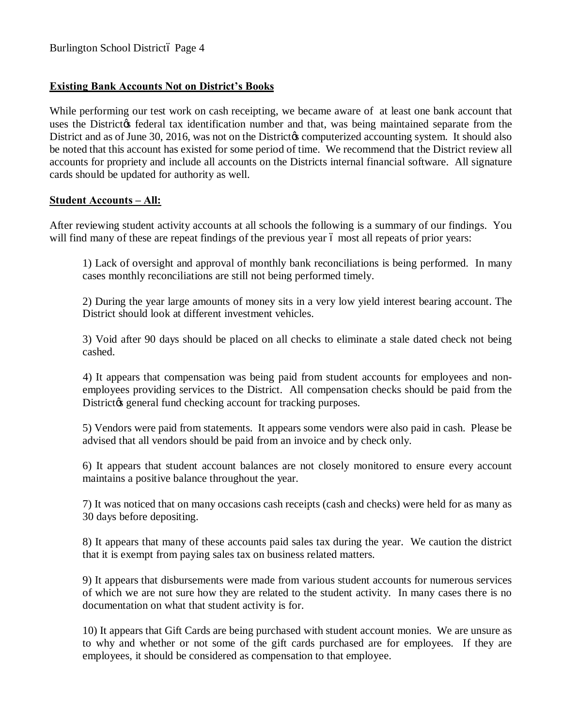## **Existing Bank Accounts Not on District's Books**

While performing our test work on cash receipting, we became aware of at least one bank account that uses the District ts federal tax identification number and that, was being maintained separate from the District and as of June 30, 2016, was not on the District to computerized accounting system. It should also be noted that this account has existed for some period of time. We recommend that the District review all accounts for propriety and include all accounts on the Districts internal financial software. All signature cards should be updated for authority as well.

### **Student Accounts – All:**

After reviewing student activity accounts at all schools the following is a summary of our findings. You will find many of these are repeat findings of the previous year 6 most all repeats of prior years:

1) Lack of oversight and approval of monthly bank reconciliations is being performed. In many cases monthly reconciliations are still not being performed timely.

2) During the year large amounts of money sits in a very low yield interest bearing account. The District should look at different investment vehicles.

3) Void after 90 days should be placed on all checks to eliminate a stale dated check not being cashed.

 4) It appears that compensation was being paid from student accounts for employees and nonemployees providing services to the District. All compensation checks should be paid from the District $\&$  general fund checking account for tracking purposes.

5) Vendors were paid from statements. It appears some vendors were also paid in cash. Please be advised that all vendors should be paid from an invoice and by check only.

6) It appears that student account balances are not closely monitored to ensure every account maintains a positive balance throughout the year.

7) It was noticed that on many occasions cash receipts (cash and checks) were held for as many as 30 days before depositing.

8) It appears that many of these accounts paid sales tax during the year. We caution the district that it is exempt from paying sales tax on business related matters.

9) It appears that disbursements were made from various student accounts for numerous services of which we are not sure how they are related to the student activity. In many cases there is no documentation on what that student activity is for.

10) It appears that Gift Cards are being purchased with student account monies. We are unsure as to why and whether or not some of the gift cards purchased are for employees. If they are employees, it should be considered as compensation to that employee.